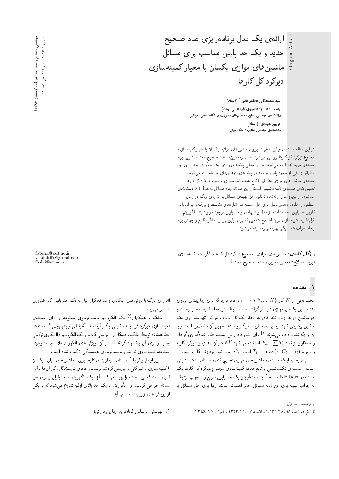Original Article  $\frac{1}{2}$ 

ارائهی یک مدل برنامهریزی عدد صحیح جدید و یک حد پایین مناسب برای مسائل ماشین های موازی یکسان با معیار کمینهسازی  $2<sub>q</sub>z<sub>q</sub>z<sub>q</sub>z<sub>q</sub>z<sub>q</sub>$ 

> سید محمدتقی فاطمیقمی $^\ast$  (استاد) واحد اداك (دانشجوی كارشناسی ارشد) دانشکدهی مهندسی صنایع و سیستمهای مدیریت، دانشگاه صنعتی امیر *کبی*ر فریبرز جولای (استاد) ۔<br>دانشکدہی مهندسی صنایع، دانشگاہ تهران

در این مقاله مسئلهی توالی عملیات برروی ماشین های موازی یکسان با معیار کمینهسازی مجموع دیرکرد کل کارها بررسی می شود. مدل برنامه ریزی عدد صحیح مختلط کارایی برای مسئلهى مورد نظر ارائه مى شود؛ سىپس مدلى پيشنهادى براى بهدستآوردن حد پايين بهتر وکاراتر از یکی از حدود یایین موجود در پیشینهی پژوهش های مسئله ارائه می شود. مسئلهى ماشين هاى موازى يكسان با تابع هدف كمينهسازى مجموع ديركرد كل كارها تعميميافتهى مسئلهى تك ماشيني است و اين مسئله جزء مسائل NP-hard دستهبندى میشود. از این رو مدل ارائه شده توانایی حل بهینهی مسائل با اندازهی بزرگ در زمان منطقی را ندارد. به همین دلیل برای حل مسئله در اندازههای متوسط و بزرگ و نیز ارزیابی کارایی حدپایین بهدستآمده از مدل پیشنهادی و حد پایین موجود در پیشینه، الگوریتم فراابتکاری شبیهسازی تبرید اصلاح شدهیی که برای اولین بار از عملگر تقاطع و جهش برای ایجاد جواب همسایگی بهره می برد، ارائه می شود.

واژگان كليدى: ماشينهاى موازى، مجموع ديركرد كل كارها، الگوريتم شبيهسازى تبريد اصلاح شده، برنامهريزي عدد صحيح مختلط.

#### ۱. مقدمه

مجموعهیی از  $N$  کار  $\{N,...,N\}$  =  $i= \{1,7,..., N\}$  مجموعهیی از ماشین یکسان موازی در نظرگرفته شدهاند. وقفه در انجام کارها مجاز نیست و  $m$ هر ماشین در هر زمان تنها قادر به انجام یک کار است و هرکار تنها باید روی یک ماشین پردازش شود. زمان انجام فرایند هرکار و موعد تحویل آن مشخص است و با و ن*ه نشان داده می شوند.<sup>[۱]</sup> برای نشان*دادن این مسئله طبق نمادگذاری گراهام  $p_i$ <br>کارا را دار MD و USS سرا است اقلیم است اقلیم می آمریکا  $i$  و همکاران از نماد  $\sum T_i$  ||  $P_m$  || استفاده میشود $\left|T\right|$ که در آن  $T_i$  زمان دیرکرد کار و برابر با  $C_i$ ,  $C_i=\max(\mathfrak{e},C_i-d_i)$  است.  $C_i$  زمان اتمام بردازش کار  $i$  است.

با توجه به اینکه مسئلهی ماشینهای موازی تعمیمیافتهی مسئلهی تکماشینی است و مسئلهى تک.اشينى با تابع هدف کمينهسازى مجموع ديرکرد کل کارها يک مسئلهی NP-hard است.<sup>[۱]</sup> بهدستآوردن یک حد پایین سریع و با جواب نزدیک<br>مسئله به جواب بهینه برای این گونه مسائل حائز اهمیت است. زیرا برای حل مسائل با

fatemi@aut.ac.ir v.adak65@gmail.com fjolai@ut.ac.ir

اندازهى بزرگ با روش هاى ابتكارى و شاخەوكران نياز به يک حد پايين كارا ضرورى به نظر می رسد.

بیلگ و همکاران<sup>ات</sup>اً یک الگوریتم جستوجوی ممنوعه را برای مسئلهی<br>پاسخ کرکار به باره کانج استرتباین مسئلها کمینهسازی دیرکرد کل چندماشینبی بهکارگرفتهاند. آنقیلنفی و پائولوچی<sup>11</sup> مسئلهی<br>مالمان میسمول ایرانجا مطالعهشده توسط بيلگ و همكاران را بررسي كردند و يك الگوريتم فراابتكاري تركيبي جدید را برای آن پیشنهاد کردند که در آن، ویژگی های الگوریتم های جستوجوی ممنوعه، شبیهسازی تبرید، و جستوجوی همسایگی ترکیب شده است.

عزیز اوغلو و کرجا<sup>[6]</sup> مسئله ی زمان بندی کارها برروی ماشین های موازی یکسان<br>مصاحب میشد کا با كمينهسازي تأخير كلبي را بررسي كردند. براساس ادعاي نويسندگان، كار آن ها اولين كاري است كه اين مسئله را بهينه مىكند. أنها يك الگوريتم شاخهوكران را براي حل مسئله طراحی کردند. این الگوریتم با یک حد بالای اولیه شروع می شود که با یکی از رویکردهای زیر بهدست می]ید:

۰۱ فهرستی براساس کوتاه ترین زمان بردازش؛

 $\int_{\mathbb{R}}$ نو بسنده مسئول  $\mathbf{r}$ 

تاريخ: دريافت 14 /1795 ، اصلاحيه ١٧ /١١ /١٣٩٢ ، بذيرش ١٣٩٥/٢٥.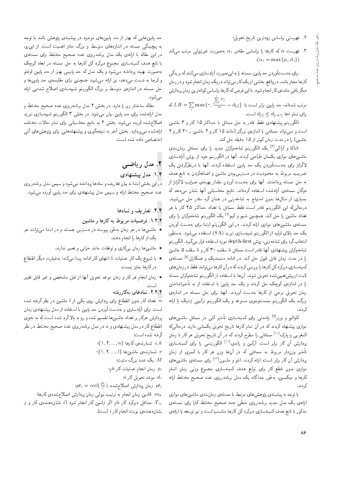- . فهرستی براساس زودترین تاریخ تحویل؛
- ا. فهرست  $\alpha$  که کارها را براساس مقادیر  $\alpha_i$  بهصورت غیرنزولمی مرتب میکند "  $\alpha_i = \max\{p_i, d_i\}$

برای بهدستآوردن حد پایین، مسئله را به این صورت آزادسازی می کنند که بر یدگی کارها مجاز باشد. در واقع، بخشی از یک کار می تواند در یک زمان انجام شود و در زمان دیگر باقی ماندهی کار انجام شود. با این فرض که کارها براساس کوتاه ترین زمان پردازش

که  $LB = \sum_i \max\{ \degree,$  $\frac{i}{\sqrt{2}}$  $\sum_{j=1} P_j$  $\frac{m}{m} = d_{[i]}\}$  : مرتب شدهاند، حد پایین برابر است با $d_{[i]}\}$  $d_{[i]} \leq d_{[i+1]}$  برای تمام  $i$ ها<br>التصافی

الكوريتم پيشنهادى فقط قادر به حل مسائل با حداكثر ١٥ كار و ٣ ماشين است و نمی تواند مسائل<sub>می</sub> با اندازهی بزرگتر (مانند ۱۵ کار و ۲ ماشین ـ °۲ کار و ۲ ماشین) را در مدت زمان کم تر از ۱۵ دقیقه حل کند.

تاناکا و آراک<sub>گ</sub>ا<sup>9]</sup> یک الگوریتم شاخەوکران جدید را برای مسائل زمان,*ندی*<br>مسلمات ایران ایران می باید از ایران ماشین های موازی یکسان طراحی کردند. آنها در الگوریتم خود از روش آزادسازی لاگرانژ برای بهدستآوردن یک حد پایین استفاده کردند. آنها با درنظرگرفتن یک ضریب، مربوط به محدودیت در دسترس بودن ماشین و اضافهکردن به تابع هدف به حل مسئله پرداختند. آنها برای بهدست آوردن مقدار بهینهی ضرایب لاگرانژ از دوگان مسئلهى أزادشده استفاده كردهاند. نتايج محاسباتي أنها نشان مىدهد كه بسیاری از مثالها بدون احتیاج به شاخهزنی در همان گره مادر حل می شوند. درحالی که این الگوریتم قادر است فقط مسائل با تعداد حداکثر ۲۵ کار با هر تعداد ماشین را حل کند. همچنین شیم و کیم<sup>۷۱</sup> یک الگوریتم شاخهوکران را برای<br>تعداد ماشین را حامل ماران کوین مسئلهى ماشينهاى موازى ارائه كردند. در اين الگوريتم ابتدا براى بهدست آوردن یک حد بالای اولیه از الگوریتم شبیهسازی تبرید (SA) استفاده میشود. بهمنظور انتخاب گره براي شاخەزني، روش depth-first مورد استفاده قرار مىگيرد. الگوريتم شاخهوكران پيشنهادى أنها قادر است مسائل تا سقف ٣٥ كار و تا سقف ۵ ماشين را در مدت زمان قابل قبول حل کند. در ادامه منسندیک و همکاران<sup>[۸]</sup> مسئلهی<br>بر مصدر است بر کارکار ایران کردن بر مقدار استقلاب نقل كمينهسازي ديركردكل كارها را بررسي كردندكه در آن كارها مى توانند فقط در زمان هاي ثابت از پیش تعیین شده تحویل شوند. آنها با استفاده از الگوریتم شاخهوکران مسئله را در اندازهى كوچك حل كردند و يک حد پايين با استفاده از به تأخيرانداختن زمان تحویل برخی از کارها بهدست آوردند. آنها، برای حل مسئله در اندازهی بزرگ، یک الگوریتم جستوجوی ممنوعه و یک الگوریتم ترکیبی ژنتیک را ارائه كردند.

کاوالیو و ورنر<sup>ا؟]</sup> راه حلمی برای کمینهسازی تأخیر کلمی در مسائل ماشین&ای<br>میدان کوپید کو برای آستها کاربارهای میشد که این کوپید با بیسته الم موازی پیسهاد دردند که در آن نمام تاریخ نامویل یکسانی دارند درخانی که<br>بازیک سایر افزایش از سال میکند که سایر میکند المغربی و پارک<sup>[۱۰]</sup> مسائل<sub>ی</sub> را مطرح کردند که در آن تاریخ تحویل هرکار با زمان<br>المعدن به تمرین استان باشترین و این الزام التح پردازش أن كار برابر است. أركين و راندى<sup>[۱۱]</sup> الگوريتمى را براى كمينهسازى .<br>تأخیر وزن**دار مربوط به مسائلی که در آنها وزن هر** کار با کسری از زمان پردازش آن کار برابر است. ارائه کردند. انلو و ماسون<sup>[۱۲]</sup> برای مسئلهی ماشین های<br>مقامتهای مقامتهای مسئل موازى بدون قطع كار براى توابع هدف كمينهسازى مجموع وزنى زمان اتمام كارها و ميكسين، بهطور جداگانه يک مدل برنامهريزى عدد صحيح مختلط ارائه كردند.

با توجه به پیشینه ی پژوهش های مرتبط با مسئله ی زمانبندی ماشین های موازی ارائهى يک مدل جديد برنامهريزى خطى عدد صحيح مختلط کارا براى مسئلهى مذکور با تابع هدف کمینهسازی دیرکرد کل کارها مناسب است و نیز توسعه یا ارائهی

حد پایین هایی که بهتر از حد پایین های موجود در پیشینه ی پژوهش باشد با توجه به پیچیدگی مسئله در اندازههای متوسط و بزرگ حائز اهمیت است. از این رو، در این مقاله با ارائهی یک مدل برنامهریزی عدد صحیح مختلط برای مسئلهی با تابع هدف کمینهسازی مجموع دیرکرد کل کارها به حل مسئله در ابعاد کوچک بهصورت بهینه یرداخته مه<sub>ا</sub>شود و یک مدل که حد پایین<sub>ه</sub> بهتر از حد پایین اوغلو و کرجا به دست می۵هد، نیز ارائه می شود. همچنین برای مقایسهی حد پایین ها و حل مسئله در اندازهى متوسط و بزرگ الگوريتم شبيهسازى اصلاح شدهيى ارائه می شود.

مقاله ساختار زير را دارد. در بخش ٢ مدل برنامهريزي عدد صحيح مختلط و مدل ارائهشده برای حد پایین بیان میشود. در بخش ۳ الگوریتم شبیهسازی تبرید اصلاح شده أورده مى شود. بخش ۴ به نتايج محاسباتى براى تمام حالات مختلف ارائه شده می پردازد. بخش آخر به نتیجهگیری و پیشنهادهایی برای پژوهش های آتی اختصاص داده شده است.

# ۲. مدل ریاضهی

## ۰۱.۲ مدل پیشنهادی

در این بخش ابتدا به بیان تعاریف و نمادها پرداخته میشود و سپس مدل برنامهریزی عدد صحیح مختلط ارائه و سپس مدل پیشنهادی برای حد پایین آورده میشود.

#### $\mathsf{R}.\mathsf{Y}$ . تعاریف و نمادها

- ۰۱.۲.۲ فرضیات مربوط به کارها و ماشین
- م ماشین ها در هر زمان بهطور پیوسته در دسترس هستند و در ابتدا می توانند هر  $\bar{\phantom{a}}$ يک ازكارها را انجام دهند.
	- ماشینها زمان به کاری و توقفات مانند خرابی و تعمیر ندارند.
- با شروع یک کار عملیات تا انتهای کار ادامه پیدا میکند؛ به عبارت دیگر انقطاع در كارها جايز نيست.
- زمان انجام هر کار و زمان موعد تحویل آنها از قبل مشخص و غیر قابل تغییر<br>است.

# است.<br>۲.۲.۲ نمادهای بهکاررفته

تعداد کار بدون انقطاع برای پردازش روی یکی از  $l$  ماشین در نظر گرفته شده  $\overline{n}$ است. برای أزادسازی و به دست آوردن حد پایین با استفاده از مدل پیشنهادی زمان پردازش هرکار بر تعداد ماشین۱ها تقسیم شده و رو به بالاگرد شده است که به نحوی انقطاع کار در مدل پیشنهادی و نه در مدل برنامهریزی عدد صحیح مختلط در نظر گرفته شده است؛

- $\{1, 7, ..., n\}$  : شمارندهی کارها:
- $\{1, 7, ..., l\}$  : شمارندهی ماشین ها $r$ 
	- $M$  یک عدد بزرگ مثبت:  $M$
	- : زمان انجام عملیات کار i $i$ ام:
	- $i$  موعد تحويل كار $d_i$
- $\textit{spt}_i = \textit{ceil}(\frac{P_i}{l})$  : زمان پردازش اصلاح شده،  $pt_i$

امین زمان انجام به ترتیب نزولمی زمان پردازش اصلاحشده $k: m_k$  $j$  حداقل دیرکرد کار  $i$ ام اگر  $j$ امین کار انجام شود ( $i$  نشاندهندهی کار و $T_{ij}$ نشاندهندهى نوبت انجام كار i است).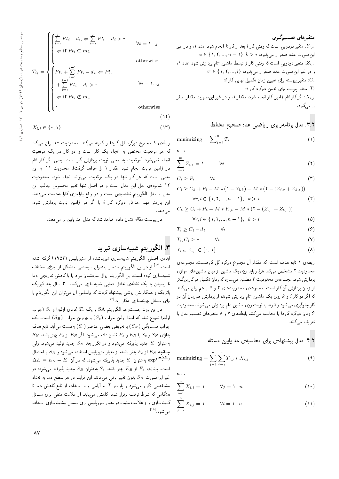$$
\begin{cases}\n\sum_{i=1}^{j} P t_i - d_i, & \in \sum_{i=1}^{j} P t_i - d_i > \text{``} \\
\Leftarrow \text{if } P t_i \subseteq m_i, \\
\text{``} & \text{otherwise}\n\end{cases} \quad \forall i = 1...j
$$

$$
T_{ij} = \begin{cases} Pt_i + \sum_{i=1}^{j-1} Pt_i - d_i \leftarrow Pt_i \\ + \sum_{i=1}^{j-1} Pt_i - d_i > \infty \\ \leftarrow \text{if } Pt_i \neq m: \end{cases} \qquad \forall i =
$$

otherwise

 $(11)$ 

 $\lambda_{\cdots}$  j

$$
X_{i,j} \in \{ \circ, \mathcal{V} \} \tag{17}
$$

رابطهى ٩ مجموع ديركرد كل كارها را كمينه مى كند. محدوديت ١٠ بيان مى كند که هر موقعیت مختص به انجام یک کار است و دو کار در یک موقعیت انجام نمی شود (موقعیت به معنی نوبت بردازش کار است. یعنی اگر کار <sup>ن</sup>ام در زامین نوبت انجام شود مقدار ۱ را خواهد گرفت). محدویت ۱۱ به این معنی است که هر کار تنها در یک موقعیت می تواند انجام شود. محدودیت ١٢ شالودهى حل اين مدل است و در اصل تنها تغيير محسوس جالب اين مدل با مدل الگوریتم تخصیص است و در واقع پارامتری کارا بهدست می دهد. این پارامتر مهم حداقل دیرکرد کار i را اگر در gامین نوبت بردازش شود، می دهد.

در پیوست مقاله نشان داده خواهد شدکه مدل حد پایین را میدهد.

## ۳. الگوریتم شبیهسازی تبرید

ایدهی اصلی الگوریتم شبیهسازی تیریدشده از مترویلیس (۱۹۵۳) گرفته شده است.<sup>[۱۳]</sup> او در این الگوریتم ماده را به عنوان سیستمی متشکل از اجزای مختلف شبیهسازی کرده است. این الگوریتم روال سردشدن مواد را با کاهش تدریجی دما تا رسیدن به یک نقطهی تعادل دمایی شبیهسازی میکند. ۳۰ سال بعد کیریک پاتریک و همکارانش روشی پیشنهاد کردند که براساس آن میهتوان این الگوریتم را برای مسائل بهینهسازی بهکار برد.<sup>[۱۴]</sup>

در این روند جستوجو الگوریتم SA با یک  $T_1$  (دمای اولیه) و  $S_1$  (جواب اولیه) شروع شده که ابتدا اولین جواب  $(S_c)$  و بهترین جواب  $(S_B)$  است. یک جواب همسایگی  $(S_N)$ ) با تعویض بعضی عناصر  $(S_c)$ ) بهدست می $\tilde{\mathfrak{l}}$ ید. تابع هدف  $S_N$  بهازای  $S_N$  و  $S_N$  با  $E_N$  و  $E$  تشان داده میشود. اگر  $E_N$  از  $E_c$  بهتر باشد، به عنوان  $S_c$  جدید یذیرفته میپشود و در تکرار بعد  $S_N$  جدید تولید میپشود. ولی  $S_N$  حنانچه  $E_N$  از  $E_c$  بدتر باشد، از معیار مترویلیس استفاده می شود و  $S_N$  با احتمال  $\Delta E = E_N - E_c$  به عنوان  $S_c$  جدید پذیرفته می $\epsilon$ شود. که در آن  $\exp^{(\frac{-\Delta E}{T})}$ است. چنانچه  $E_c$  از  $E_B$  بهتر باشد،  $S_c$  بهعنوان  $S_B$  جدید پذیرفته می $\mathcal{L}_c$ ود؛ در غیر این صورت  $S_B$  بدون تغییر باقی می ماند. این فرایند در هر سطح دما به تعداد مشخصی تکرار میشود و پارامتر  $T$  به آرامی و با استفاده از تابع کاهش دما تا هنگامی که شرط توقف برقرار شود، کاهش می،یابد. از علامت منفی برای مسائل کمینهسازی و از علامت مثبت در معیار متروپلیس برای مسائل بیشینهسازی استفاده می شود. <sup>[۱۵]</sup> متغیر دودویی است که وقتی کار  $i$  بعد از کار  $k$  انجام شود عدد ۱، و در غیر  $Y_{i,k}$  $i \in \{1, 7, ..., n-1\}, k > i$  این صورت عدد صفر را می بذیرد،  $i > i$ . متغیر دودویی است که وقتی کار j توسط ماشین  $r$ ام پردازش شود عدد ۱.  $r \in \{1, 7, ..., l\}$ و در غیر این صورت عدد صفر را می پذیرد،  $i$  : متغیر پیوسته برای تعیین زمان تکمیل نهایی کار $C_i$  $\{i$  : متغیر پیوسته برای تعیین دیرکرد کار  $T_i$ اگر کار  $i$ ام  $j$ امین کار انجام شود، مقدار ۱، و در غیر این صورت مقدار صفر: $X_{i,j}$ 

را مے گیرد.

۳.۲. مدل برنامه٫یزی ریاضی عدد صحیح مختلط

$$
\text{minimizing} = \sum_{i=1}^{n} T_i \tag{1}
$$

 $\mathrm{s.t}$  :

$$
\sum_{i=1}^{m} Z_{i,r} = 1 \qquad \forall i \qquad (1)
$$

$$
C_i \ge P_i \qquad \forall i \tag{7}
$$

$$
C_i \geq C_k + P_i - M * (\mathbf{1} - Y_{i,k}) - M * (\mathbf{1} - (Z_{i,r} + Z_{k,r}))
$$

$$
\forall r, i \in \{1, 1, \dots, n-1\}, \ k > i \tag{f}
$$

$$
C_k \ge C_i + P_k - M * Y_{i,k} - M * (\mathbf{Y} - (Z_{i,r} + Z_{k,r}))
$$

$$
\forall r, i \in \{1, 1, \dots, n-1\}, \ k > i \tag{2}
$$

$$
T_i \geq C_i - d_i \qquad \forall i \tag{8}
$$

$$
T_i, C_i \geq \circ \qquad \forall i \tag{V}
$$

$$
Y_{i,k}, Z_{i,r} \in \{ \circ, \lambda \} \tag{A}
$$

رابطهی ۱ تابع هدف است. که مقدار آن مجموع دیرکرد کل کارهاست. مجموعهی محدودیت ۲ مشخص میکند هرکار باید روی یک ماشین از میان ماشین های موازی پردازش شود. مجموعهى محدوديت ٣ مطمئن مىسازدكه زمان تكميل هركار بزرگ تر از زمان پردازش آن کار است. مجموعهی محدویتهای ۴ و ۵ با هم بیان میکنند که اگر دوکار  $i$  و  $k$  روی یک ماشین  $r$ ام پردازش شوند، از پردازش همزمان آن دو کار جلوگیری می شود و کارها به نوبت روی ماشین rام پردازش می شوند. محدودیت ۶ زمان دیرکرد کارها را محاسبه میکند. رابطههای ۷ و ۸ متغیرهای تصمیم مدل را تعریف مے کنند.

$$
\text{minimizing} = \sum_{i=1}^{n} \sum_{j=1}^{n} T_{i,j} * X_{i,j} \tag{4}
$$

 $s.t.$ 

$$
\sum_{i=1}^{n} X_{i,j} = 1 \qquad \forall j = 1...n \qquad (1)
$$

$$
\sum_{j=1}^{n} X_{i,j} = 1 \qquad \forall i = 1...n \tag{11}
$$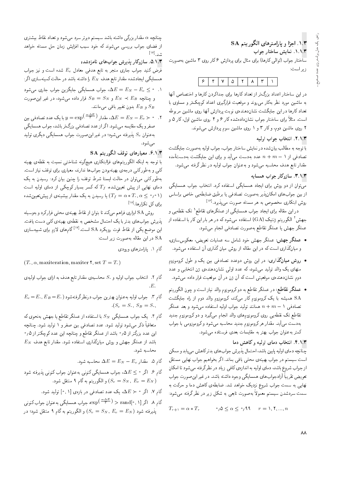۰۱.۳ اجزا و پارامترهای الگوریتم SA ١.١.٣. نمايش ساختار جواب ساختار جواب (توالی کارها) برای مثال برای پردازش ۶ کار روی ۳ ماشین بهصورت زير است:

|--|

در این ساختار اعداد بزرگ تر از تعداد کارها برای جداکردن کارها و اختصاص آنها به ماشین مورد نظر بهکار مهرروند و موقعیت قرارگیری اعداد کوچک تر و مساوی با تعداد کارها در این جایگشت نشاندهندهی نوبت پردازش آنها روی ماشین مربوطه است. مثلاً برای ساختار جواب نشاندادهشده کار ۶ و ۴ روی ماشین اول، کار ۵ و ۲ روی ماشین دوم، وکار ۳ و ۱ روی ماشین سوم پردازش میشوند.

#### ٢.١.٣. انتخاب جواب اوليه

با توجه به مطالب بیانشده در نمایش ساختار جواب، جواب اولیه بهصورت جایگشت تصادفی از  $m+n+1$  عدد بهدست میآید و برای این جایگشت بهدستآمده مقدار تابع هدف محاسبه میشود و به عنوان جواب اولیه در نظر گرفته میشود.

### ٣.١.٣. سازوكار جواب همسايه

۔<br>میتوان از دو روش برای ایجاد همسایگی استفاده کرد. انتخاب جواب همسایگی از بین جوابهای امکان پذیر به صورت تصادف<sub>ی</sub> یا برطبق ضابطه یی خاص براساس روش ابتکاری مخصوص به هر مسئله صورت می بذیرد. <sup>[۱۶]</sup>

در این مقاله برای ایجاد جواب همسایگی از عملگرهای تقاطع` تک نقطه یی و جهش <sup>۲</sup> الگوریتم ژنتیک (GA) استفاده میشود که در هر بار این کار با استفاده از عملگر جهش یا عملگر تقاطع بهصورت تصادفی انجام می شود.

- عملگر جهش: عملگر جهش خود شامل سه عملیات تعویض، معکوس سازی، و میانگذاری است که در این مقاله از روش میان گذاری آن استفاده میشود.
- روش میانگذاری: در این روش دوعدد تصادفی بین یک و طول کروموزوم منهای یک والد تولید مهرشود، که عدد اولی نشاندهندهی ژن انتخابی و عدد دوم نشاندهنده،ی موقعیتی است که آن ژن در آن موقعیت قرار داده میشود.
- عملگر تقاطع: در عملگر تقاطع به دو کروموزوم والد نیاز است و چون الگوریتم .<br>SA همیشه با یک کروموزوم کار میکند، کروموزوم والد دوم از راه جایگشت تصادفی ۱ $m+n+1$  همانند تولید جواب اولیه استفاده میشود و بعد عملگر تقاطع تک نقطه یی روی کروموزومهای والد انجام میگیرد و دو کروموزوم جدید بهدست میآید. مقدار هرکروموزوم جدید محاسبه میشود وکروموزومی با جواب کمتر به عنوان جواب بهتر به مقایسات بعدی فرستاده می شود.

#### ۴.۱.۳. انتخاب دمای اولیه و کاهش دما

۔<br>چنانچه دمای اولیه پایین باشد، احتمال پذیرش جوابهای بدترکاهش می یابد و ممکن است سیستم در جواب بهینه ی محلی باقی بماند. اگر بخواهیم جواب نهایی مستقل از جواب شروع باشد، دماي اوليه به اندازهي كافي زياد در نظرگرفته مي شود تا امكان تعويض تقريباً أزادجوابهاي همسايگي وجود داشته باشد. در غيراين صورت جواب نهایی به سمت جواب شروع نزدیک خواهد شد. ضابطهی کاهش دما و حرکت به سمت سردشدن سیستم معمولاً به صورت تابعی به شکل زیر در نظرگرفته میشود:

$$
T_{r+1} = \alpha \ast T_r \qquad \qquad \circ \rho \le \alpha \le \circ \rho \mathcal{A} \qquad r = 1, 1, ..., r
$$

چنانچه a مقدار بزرگمی داشته باشد سیستم دیرتر سرد می شود و تعداد نقاط بیشتری از فضای جواب بررسی میشوند که خود سبب افزایش زمان حل مسئله خواهد میل [۱۷]

۵.۱.۳. سازوکار پذیرش جوابهای نامزدشده

فرض کنید جواب جاری منجر به تابع هدفی معادل  $E_c$  شده است و نیز جواب همسایگی ایجادشده مقدار تابع هدف  $E_N$  را داشته باشد در حالت کمینهسازی اگر:

- ۰۱  $E=E_N-E_c\leq \Delta E=0$ ، جواب همسایگی جایگزین جواب جاری میشود و چنانچه  $E_B \prec E_N \prec E_N$  و  $S_B = S_R \prec E_N$  قرار داده میشود، در غیر این صورت و  $E_B$  بدون تغییر باقی میمانند.  $S_B$
- با یک عدد تصادفی بین  $y=\exp^{\left(\frac{-\Delta E}{T}\right)}$ ، مقدار  $\Delta E=E_N-E_c\succ^{\bullet}$  . ۲ صفر و یک مقایسه میشود. اگر از عدد تصادفی بزرگ تر باشد، جواب همسایگی به عنوان  $S_c$  پذیرفته می شود؛ در غیر این صورت جواب همسایگی دیگری تولید مې شود.

## ۶.۱.۳. معيارهاي توقف الگوريتم SA

با توجه به اینکه الگوریتمهای فراابتکاری هیچگونه شناختی نسبت به نقطهی بهینه کلی و بهطورکلی درجهی بهینهبودن جوابها ندارند، معیاری برای توقف نیاز است. بهطور کلبی می توان در حالت ایستا شرط توقف را چنین بیان کرد: رسیدن به یک دمای نهایی از پیش تعیینشده،  $T_f$  که کسر بسیار کوچکی از دمای اولیه است یا رسیدن به یک مقدار بیشینهی از پیش تعیین شده ( $T_f = \alpha * T_\circ, \alpha \leq \gamma \circ \mathcal{N}$ برای کل تکرارها.<sup>[۱۸]</sup>

روش SA ابزاری فراهم میکند تا بتوان از نقاط بهینهی محلبی فرارکرد و بهوسیله يذيرش جوابهاي بدتر با يک احتمال مشخص به نقطهي بهينهي کلبي دست يافت. این موضع یکی از نقاط قوت رویکرد SA است.<sup>[۱۷]</sup>گامهای لازم برای شبیهسازی SA در این مقاله بهصورت زیر است:

گام ۱. پارامترهای ورودی

 $(T_*, \alpha,$  maxiteration, maxiter  $\mathbf{Y},$  set  $T = T_*)$ 

- گام ۲. انتخاب جواب اولیه و *S*. محاسبه0 مقدار تابع هدف به ازای جواب اولیه0
- $E_c$ ام ۳. جواب اولیه به عنوان بهترین جواب درنظرگرفتهشود ( ، $E_B = E_\cdot$  ,  $E_B = E_\cdot$  $.S_c = S_*, S_B = S_*,$
- گام ۴. یک جواب همسایگی  $S_N$  با استفاده از عملگر تقاطع یا جهش بهنحوی که متعاقباً ذکر میهشود تولید شود. عدد تصادفی بین صفر و ۱ تولید شود. چنانچه این عدد بزرگتر از ۰٫۵ باشد از عملگر تقاطع و چنانچه این عدد کوچکتر از ۰٫۵  $E_N$  باشد از عملگر جهش و روش میانگذاری استفاده شود. مقدار تابع هدف محاسبه شود.
	- گام ۵. مقدار $E = E_N E_c$  محاسبه شود.
- گام ۶. اگر ۰ ک $E \leq \Delta$ ، جواب همسایگی کنونی بهعنوان جواب کنونی پذیرفته شود و الگوريتم به گام ۹ منتقل شود.  $(S_c = S_N, E_c = E_N)$ 
	- گام ۷. اگر  $\langle E \rangle \to \Delta E$ ، یک عدد تصادفی در بازهی  $[\, \circ \, , \, \cdot \,]$  تولید شود.
- گام ۸. اگر [۰٫۱] rand  $\exp^{\left(-\frac{\Delta E}{T}\right)}>\exp^{\left(-\frac{\Delta E}{T}\right)}$ ، جواب کنونی و الگوریتم به گام ۹ منتقل شود؛ در  $(S_c=S_N,\,E_c=E_N)$  بُدیرفته شود؛ در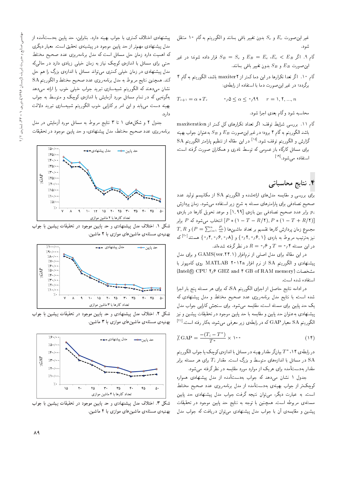غیر این صورت  $E_c$  و  $S_c$  بدون تغییر باقی بمانند و الگوریتم به گام ۱۰ منتقل شود.

- گام ۹. اگر  $E_B = E_c \circ E_B = E_c \circ E_c < \epsilon$  قرار داده شوند؛ در غیر اين صورت  $E_B$  و  $S_B$  بدون تغيير باقى بمانند.
- گام ۱۰. اگر تعدا تکرارها در این دما کمتر از maxiter۲ باشد، الگوریتم به گام ۴ برگردد؛ در غیر این صورت دما با استفاده از رابطهی:

$$
T_{r+1} = \alpha \ast T_r \qquad \circ \beta \le \alpha \le \circ \beta \mathfrak{q} \qquad r = 1, 1, ..., n
$$

محاسبه شود وكام بعدى اجرا شود.

گام ۱۱. بررسی شرایط توقف: اگر تعداد تکرارهای کل کمتر از maxiteration باشد الگوریتم به گام ۴ برود؛ در غیر این صورت  $E_B$  و  $S_B$  به عنوان جواب بهینه  ${\rm SA}$  كَزارش و الگوريتم توقف شود. $^{[01]}$  در اين مقاله از تنظيم يارامتر الگوريتم درارس و الدورينم بوقف سود.<br>ا برای مسائل تارتاه باز عمومی نه نوسط نادری و همداران صورت ترقیه است،<br>احضا استفاده مىشود.<sup>[۱۹</sup>]<br>.

# ۴. نتایج محاسباتی

برای بررسی و مقایسه مدلهای ارائهشده و الگوریتم SA از مکانیسم تولید عدد صحیح تصادفی برای پارامترهای مسئله به شرح زیر استفاده می شود. زمان پردازش و برابر عدد صحیح تصادفی بین بازهی  $[ \, \lambda, \, \mathsf{R} \, \mathsf{R} \,$ و موعد تحویل کارها در بازهی  $p_i$ انتخاب میشود که  $P$  برابر  $[P*(1 - T - R/\mathbf{Y}), P*(1 - T + R/\mathbf{Y})]$  $T,R$  مجموع زمان بردازش کارها تقسیم بر تعداد ماشینها (  $\frac{P_i}{m}$  ) میر $\epsilon$ ان است $\epsilon$ نیز بهترتیب مربوط به بازه0 {۰٫۲٫۰٫۷ } و {۰٫۴٫۰٫۶٫۰} هستند<sup>[۲۰]</sup> که<br>اینجمن اینچی می این می این این این این این این این در این مسئله ۰٫۴ و  $T=\mathcal{S}\backslash\mathcal{F}$  در نظر گرفته شدهاند.

در این مقاله برای مدل اصلی از نرمافزار (GAMS(ver.۲۴.۱) و برای مدل پیشنهادی و الگوریتم SA از نرم افزار MATLAB ۲۰۱۲a روی کامپیوتر با مشخصات (Intel® CPU ٢٫۶ GHZ and ۴ GB of RAM memory) استفاده شده است.

در ادامه نتايج حاصل از اجراى الگوريتم SA، كه براى هر مسئله پنج بار اجرا شده است، با نتایج مدل برنامهریزی عدد صحیح مختلط و مدل پیشنهادی که یک حد پایین برای مسئله است، مقایسه میشود. برای سنجش کارایی جواب مدل پیشنهادی به عنوان حد پایین و مقایسه با حد پایین موجود در تحقیقات پیشین و نیز الگوریتم SA معیار GAP که در رابطهی زیر معرفی میشود، بهکار رفته است.<sup>[۱۰]</sup><br>.

$$
\angle GAP = \frac{-(T_i - T^*)}{T^*} \times \mathcal{N} \tag{15}
$$

\*T بيا نگر مقدار بهينه در مسائل با اندازهى كوچک يا جواب الگوريتم<br>اباننا مطلب مقدم است گو با مقدم تناسط در رابطه ی ۱۱۱<br>۲۰۸ GA در مسائل با اندازههای متوسط و بزرگ است. مقدار  $T_i$  برای هر مسئله برابر  $\mathrm{SA}$ 

مقدار بهدستآمده برای هریک از موارد مورد مقایسه در نظر گرفته میشود.<br>جدول ۱ نشان مهردهد که جواب بهدستآمده از مدل پیشنهادی همواره جدول ۱ سدان می1هد ته جواب به ستامده از مدل پیستهادی همواره<br>محمد استان میلاد آ دوچک در از جواب بهینهی بهدست امده از مدل برنامهریزی عدد صحیح محتفظ<br>ا است. به عبارت دیگر، می توان نتیجه گرفت جواب مدل پیشنهادی حد پایین مسئلهى مربوطه است. همچنين با توجه به نتايج حد پايين موجود در تحقيقات پیشین و مقایسهی أن با جواب مدل پیشنهادی می توان دریافت که جواب مدل

پیشنهادی اختلاف کمتری با جواب بهینه دارد. بنابراین، حد پایین بهدستآمده از مدل بیشنهادی مهمتر از حد پایین موجود در پیشینهی تحقیق است. معیار دیگری که اهمیت دارد زمان حل مسائل است که مدل برنامهریزی عدد صحیح مختلط حتی برای مسائل با اندازهی کوچک نیاز به زمان خیلی زیادی دارد در حالیکه مدل پیشنهادی در زمان خیلمی کمتری می تواند مسائل با اندازهی بزرگ را هم حل كند. همچنين نتايج مربوط به مدل برنامهريزي عدد صحيح مختلط و الگوريتم SA نشان می،دهند که الگوریتم شبیهسازی تبرید جواب خیلی خوب را ارائه می،دهد بهگونه یی که در تمام مسائل مورد آزمایش با اندازهی کوچک و متوسط به جواب بهینه دست مییابد و این امر بر کارایی خوب الگوریتم شبیهسازی تبرید دلالت دار د.

جدول ۲ و شکلهای ۱ تا ۳ نتایج مربوط به مسائل مورد آزمایش در مدل برنامهریزی عدد صحیح مختلط، مدل پیشنهادی، و حد پایین موجود در تحقیقات



شکل ۱. اختلاف مدل پیشنهادی و حد پایین موجود در تحقیقات پیشین با جواب بهنیهی مسئلهی ماشین های موازی با ۲ ماشین.



شکل ۲. اختلاف مدل پیشنهادی و حد پایین موجود در تحقیقات پیشین با جواب بهنیهی مسئلهی ماشین های موازی با ۳ ماشین.



شکل ۳. اختلاف مدل پیشنهادی و حد پایین موجود در تحقیقات پیشین با جواب بهنیهی مسئلهی ماشینهای موازی با ۴ ماشین.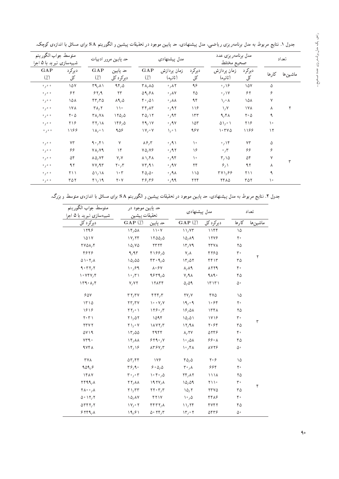| متوسط جواب الگوريتم<br>شبیهسازی تبرید با ۵ اجرا |                                  |                                                  | حد پايين مرور ادبيات                     |                                                   | مدل پیشنهادی               |                                 | مدل برنامه ریزی عدد<br>صحيح مختلط |                           |           | تعداد    |
|-------------------------------------------------|----------------------------------|--------------------------------------------------|------------------------------------------|---------------------------------------------------|----------------------------|---------------------------------|-----------------------------------|---------------------------|-----------|----------|
| GAP<br>(7)                                      | ديركرد<br>کل                     | GAP<br>$\binom{1}{k}$                            | حد يايين<br>دیرکرد کل                    | GAP<br>$\binom{7}{1}$                             | زمان يردازش<br>(ثانيه)     | ديركرد<br>کل                    | زمان پردازش<br>(ثانيه)            | ديركرد<br>کل              | كارها     | ماشين ها |
| 0/0.0                                           | ۱۵۷                              | $TA/\Lambda$                                     | 950                                      | $\mathsf{r}_{\Lambda_{1}}$ $\Lambda\Delta$        | $\cdot$ , $\wedge\Upsilon$ | ۹۶                              | $\cdot$ , \ $\circ$               | ١۵٧                       | ۵         |          |
| 0/0.0                                           | ۶۲                               | 84,9                                             | $\tau\tau$                               | 09,91                                             | $\cdot$ , $\wedge \vee$    | ۲۵                              | $\cdot$ , \ Y                     | ۶۲                        | ۶         |          |
| 0/0.0                                           | ۱۵۸                              | $rr, r \Delta$                                   | $\lambda$ 9, $\Delta$                    | ۴۰٫۵۱                                             | $\cdot$ , $\lambda\lambda$ | ۹۴                              | ۱٫∘ ۸                             | ۱۵۸                       | Y         |          |
| 0/0.0                                           | ١٧٨                              | $\Gamma \Lambda, \Gamma$                         | $\setminus$                              | $\mathbf{r}\mathbf{r}_i$ A $\mathbf{r}$           | $\cdot$ , 9 $\tau$         | $\frac{1}{2}$                   | $\lambda/\lambda$                 | ۱۷۸                       | Λ         |          |
| 0/0.0                                           | $\mathsf{r}\cdot\mathsf{\Delta}$ | $\mathsf{r}_{\Lambda,\mathsf{V}\Lambda}$         | 110,0                                    | $TQ_1$                                            | $\cdot$ ,94                | 157                             | 9,81                              | $\mathbf{Y} \cdot \Delta$ | ٩         |          |
| 0/0.0                                           | ۲۱۶                              | $\mathsf{r}\mathsf{r}\mathsf{r}\wedge\mathsf{r}$ | 199/0                                    | Y9,1Y                                             | $\cdot$ , ۹۷               | $\lambda$                       | $0 \vee \circ \vee$               | ۲۱۶                       | ١۰        |          |
| 0/0.0                                           | ۱۱۶۶                             | $\lambda/\sqrt{2}$                               | 908                                      | $\mathsf{V}/\mathsf{V}$                           | $\lambda / \cdot \lambda$  | 98V                             | 1.500                             | 1188                      | $\lambda$ |          |
| 0/0.0                                           | $Y\tau$                          | 9.791                                            | ٧                                        | $\lambda$ ۶,۳                                     | $\cdot$ / 9 )              | ١۰                              | $\cdot$ / ۱۴                      | ٧٣                        | ۵         |          |
| 0/0.0                                           | ۶۶                               | $V \Lambda, V \Lambda$                           | $\gamma$                                 | $Y\Delta, Y$                                      | .47                        | ۱۶                              | $\cdot$ , $\cdot$                 | ۶۶                        | ۶         |          |
| 0/0.0                                           | ۵۴                               | $\lambda \Delta/Vf$                              | V, V                                     | $\lambda \lambda / f \lambda$                     | $\cdot$ ,94                | ١۰                              | $\mathsf{r}_1\mathsf{r}_0$        | ۵۴                        | $\vee$    |          |
| 0/0.0                                           | 97                               | VV, 9V                                           | $\mathbf{Y} \cdot \mathbf{y} \mathbf{y}$ | VT/11                                             | $\cdot$ , 9 $\vee$         | ٢۴                              | $\mathcal{F}_{\ell}$              | 97                        | ٨         |          |
| 0/0.0                                           | $\gamma \setminus \gamma$        | 01/1A                                            | $\eta \circ \eta$                        | 40,0                                              | $\cdot$ , ۹ $\Lambda$      | $\setminus \setminus \triangle$ | ۳۷۱,۶۶                            | ۲۱۱                       | ٩         |          |
| 0/0.0                                           | ۳۵۲                              | ۴۱٫۱۹                                            | $\mathbf{Y} \circ \mathbf{Y}$            | $\mathbf{r} \mathbf{s}_i \mathbf{r} \mathbf{s}_i$ | $\cdot$ , 99               | ۲۲۴                             | <b>7410</b>                       | ۳۵۲                       | ۰ (       |          |

جدول ۱. نتایج مربوط به مدل برنامه ریزی ریاضی، مدل پیشنهادی، حد پایین موجود در تحقیقات پیشین و الگوریتم SA برای مسائل با اندازهی کوچک.

جدول ۲. نتایج مربوط به مدل پیشنهادی، حد پایین موجود در تحقیقات پیشین و الگوریتم SA برای مسائل با اندازهی متوسط و بزرگ.

| متوسط جواب الگوريتم<br>شبیهسازی تبرید با ۵ اجرا |                                                    | حد پايين موجود در<br>تحقيقات ييشين                |                                                   | مدل پیشنهادی           |                  | تعداد    |  |  |
|-------------------------------------------------|----------------------------------------------------|---------------------------------------------------|---------------------------------------------------|------------------------|------------------|----------|--|--|
| ديركرد كل                                       | $GAP(\n% )$                                        | حد يايين                                          | $GAP(\n\lambda)$                                  | ديركرد كل              | كارها            | ماشين ها |  |  |
| 1199                                            | $\mathcal{N} \uparrow / \Delta \Lambda$            | $\bigwedge$ $\bigvee$                             | $\frac{1}{4}$                                     | 1144                   | ۱۵               |          |  |  |
| 1017                                            | V/Y                                                | 1100/0                                            | 10,09                                             | 1248                   | $\mathbf{Y}$ .   |          |  |  |
| $\Upsilon V \Delta \Lambda / \Upsilon$          | 10,00                                              | 5777                                              | $\mathcal{N}$                                     | <b>TTVA</b>            | ۲۵               |          |  |  |
| ۴۶۲۶                                            | 9,95                                               | 4199/0                                            | $V/\Lambda$                                       | 4790                   | ۳۰               |          |  |  |
| 01.7, A                                         | 10,00                                              | rr.9,0                                            | 17,07                                             | ۴۴۱۳                   | ۳۵               | ٢        |  |  |
| 9.5777                                          | $\mathcal{N} \cdot \mathcal{S}$                    | $\Lambda \cdot 5 \Lambda$                         | $\lambda, \lambda$ ۹                              | ATTA                   | ۴۰               |          |  |  |
| $\cdot$ $VfV/f$                                 | $\langle \cdot, \tau \rangle$                      | 9579,0                                            | V, 9A                                             | 9.19                   | ۴۵               |          |  |  |
| $\mathcal{N}^{\mathcal{A}} \cdot \mathcal{A}$   | V/VY                                               | 17ATf                                             | 0,09                                              | 17171                  | ۵۰               |          |  |  |
| 90Y                                             | r r/r v                                            | $\mathbf{r}\mathbf{r}\mathbf{r}$                  | $\mathsf{Y}\mathsf{Y},\mathsf{Y}$                 | ۴۷۵                    | ۱۵               |          |  |  |
| 1510                                            | $\mathbf{Y}\mathbf{Y}/\mathbf{Y}$                  | $\lambda \cdot \cdot \mathsf{Y}, \mathsf{Y}$      | 19,09                                             | ۱۰۶۴                   | $\mathbf{Y}$ .   |          |  |  |
| 1818                                            | $\Upsilon\Upsilon/\Upsilon$                        | 179.7                                             | 18,01                                             | 1771                   | ۲۵               |          |  |  |
| $Y \cdot Y$                                     | $Y \setminus \Delta Y$                             | 109f                                              | $\lambda \Delta$ <sub>/</sub> $\Delta \lambda$    | 1718                   | ۳۰               |          |  |  |
| <b>TTVY</b>                                     | $\mathbf{Y} \setminus \mathbf{y} \circ \mathbf{Y}$ | $\lambda V Y, T$                                  | 17,9                                              | ۲۰۶۴                   | ٣۵               | ٣        |  |  |
| ۵۷۱۹                                            | 17,00                                              | ۴۹۴۴                                              | A, YY                                             | 0799                   | ۴۰               |          |  |  |
| VT4.                                            | $Yf/\lambda\lambda$                                | 549.7                                             | $\mathcal{N} \cdot \mathcal{N}$                   | ۶۶۰۸                   | ۴۵               |          |  |  |
| 9 V F A                                         | $\frac{18}{15}$                                    | $\lambda \Gamma \gamma V, \Gamma$                 | $\mathcal{N} \cdot \mathcal{N}$                   | <b>AVTS</b>            | ۵۰               |          |  |  |
| <b>TYA</b>                                      | $\delta r$ , $r$ $r$                               | 179                                               | $\uparrow \vartriangle$ , $\vartriangle$          | $Y \circ 5$            | ۱۵               |          |  |  |
| 909,8                                           | $\mathbf{r} \mathbf{s}$ , $\mathbf{q}$ .           | 9.000                                             | $\mathsf{r} \cdot \mathsf{r}$                     | ۶۶۴                    | $\mathbf{Y}$ .   |          |  |  |
| 1817                                            | $r \cdot r \cdot r$                                | $\mathcal{N} \cdot \mathcal{K} \cdot \mathcal{N}$ | $\mathbf{Y} \mathbf{F}$ , $\mathbf{A} \mathbf{Y}$ | ۱۱۱۸<br>۲۵             |                  |          |  |  |
| Yf99, A                                         | $\Upsilon\Upsilon/\Lambda\Lambda$                  | 197Y/A                                            | 10,01                                             | $\gamma \wedge \gamma$ | ۰ ۳              |          |  |  |
| $\mathsf{Y}\wedge\cdot\cdot\cdot\wedge$         | $Y \setminus T$                                    | $\mathbf{Y}\mathbf{Y}\cdot\mathbf{Y}/\mathbf{Y}$  | 10,7                                              | <b>TTV0</b>            | ۳۵               | ۴        |  |  |
| 0.177                                           | $\lambda \Delta / \lambda V$                       | Y Y Y                                             | $\mathcal{N} \circ \mathcal{N}$                   | ۴۴۸۶                   | $\mathfrak{r}$ . |          |  |  |
| $\Delta \mathbf{r} \mathbf{r} \mathbf{r}$       | $\mathsf{Y}/\mathsf{Y}$                            | $YYY, \lambda$                                    | 11,77                                             | <b>۴۷۴۲</b>            | ۴۵               |          |  |  |
| 5779,                                           | ۱۹٫۶۱                                              | 0.797                                             | $\mathcal{N} \mathcal{F}$ , $\mathcal{S}$         | ۵۴۳۶                   | ۵۰               |          |  |  |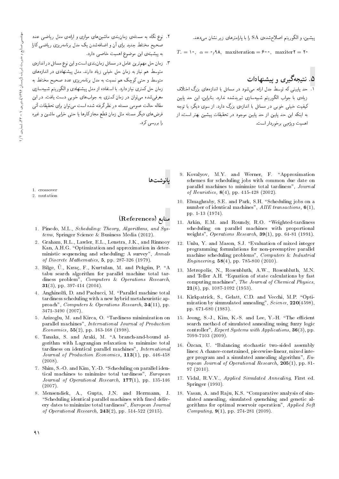پیشین، و الگوریتم اصلاحشده، SA را با پارامترهای زیر نشان مبردهد.

 $T_{\cdot} = \vee$ ,  $\alpha = \circ \wedge \wedge \wedge$  maxiteration =  $\hat{z} \circ \circ$ , maxiter  $\zeta = \zeta$ 

# .<br>۵. نتیجهگیری و پیشنهادات

- ٦. حد پایینی که توسط مدل ارائه می,شود در مسائل با اندازههای بزرگ اختلاف زیادی با جواب الگوریتم شبیهسازی تبریدشده ندارد. بنابراین، این حد پایین کیفیت خیلی خوبی در مسائل با اندازهی بزرگ دارد. از سوی دیگر، با توجه به اینکه این حد پایین از حد پایین موجود در تحقیقات پیشین بهتر است، از اهمیت ویژهیے پرخوردار است.
- ۲. نوع نگاه به مسئلهی زمانبندی ماشینهای موازی و ارائهی مدل ریاضی عدد صحیح مختلط جدید برای آن و اضافهشدن یک مدل برنامهریزی ریاضی کارا به پیشینهی این موضوع اهمیت خاصی دارد.
- ۳. زمان حل مهمترین عامل در مسائل زمان بندی است و این نوع مسائل در اندازهی .<br>متوسط هم نیاز به زمان حل خیلمی زیاد دارند. مدل پیشنهادی در اندازههای .<br>متوسط و حتى كوچک هم نسبت به مدل برنامهريزي عدد صحيح مختلط به زمان حل کمتری نیاز دارد. با استفاده از مدل پیشنهادی و الگوریتم شبیهسازی معرفی شده می توان در زمان کمتری به جوابهای خوبی دست یافت. در این مقاله حالت عمومی مسئله در نظرگرفته شده است می توان برای تحقیقات آتی فرضهای دیگر مسئله مثل زمان قطع مجازکارها یا حتی خرابی ماشین و غیره را پرزشتی کرد.

- 1. crossover
- 2. mutation

#### منابع (References)

- 1. Pinedo, M.L., Scheduling: Theory, Algorithms, and Systems, Springer Science & Business Media (2012).
- 2. Graham, R.L., Lawler, E.L., Lenstra, J.K., and Rinnooy Kan, A.H.G. "Optimization and approximation in deterministic sequencing and scheduling: A survey". Annals of Discrete Mathematics,  $5$ , pp. 287-326 (1979).
- 3. Bilge, Ü., Kıraç, F., Kurtulan, M. and Pekgün, P. "A tabu search algorithm for parallel machine total tardiness problem", Computers & Operations Research, 31(3), pp. 397-414 (2004).
- 4. Anghinolfi, D. and Paolucci, M. "Parallel machine total tardiness scheduling with a new hybrid metaheuristic approach", Computers & Operations Research,  $34(11)$ , pp. 3471-3490 (2007).
- 5. Azizoglu, M. and Kirca, O. "Tardiness minimization on parallel machines", International Journal of Production *Economics*,  $55(2)$ , pp. 163-168 (1998).
- 6. Tanaka, S. and Araki, M. "A branch-and-bound algorithm with Lagrangian relaxation to minimize total tardiness on identical parallel machines", International Journal of Production Economics,  $113(1)$ , pp. 446-458  $(2008).$
- 7. Shim, S.-O. and Kim, Y.-D. "Scheduling on parallel identical machines to minimize total tardiness", European Journal of Operational Research,  $177(1)$ , pp. 135-146  $(2007).$
- 8. Mensendiek, A., Gupta, J.N. and Herrmann, J. "Scheduling identical parallel machines with fixed delivery dates to minimize total tardiness", European Journal of Operational Research,  $243(2)$ , pp. 514-522 (2015).
- 9. Kovalyov, M.Y. and Werner, F. "Approximation schemes for scheduling jobs with common due date on parallel machines to minimize total tardiness", Journal of Heuristics,  $8(4)$ , pp. 415-428 (2002).
- 10. Elmaghraby, S.E. and Park, S.H. "Scheduling jobs on a number of identical machines", AIIE transactions,  $6(1)$ , pp. 1-13 (1974).
- 11. Arkin, E.M. and Roundy, R.O. "Weighted-tardiness scheduling on parallel machines with proportional weights", Operations Research,  $39(1)$ , pp. 64-81 (1991).
- 12. Unlu, Y. and Mason, S.J. "Evaluation of mixed integer programming formulations for non-preemptive parallel machine scheduling problems", Computers & Industrial *Engineering*,  $58(4)$ , pp. 785-800 (2010).
- 13. Metropolis, N., Rosenbluth, A.W., Rosenbluth, M.N. and Teller A.H. "Equation of state calculations by fast computing machines", The Journal of Chemical Physics,  $21(6)$ , pp. 1087-1092 (1953).
- 14. Kirkpatrick, S., Gelatt, C.D. and Vecchi, M.P. "Optimization by simmulated annealing", Science, 220(4598), pp. 671-680 (1983).
- 15. Jeong, S. J., Kim, K. S. and Lee, Y. H. "The efficient search method of simulated annealing using fuzzy logic controller", *Expert Systems with Applications*,  $36(3)$ , pp. 7099-7103 (2009).
- 16. Özcan, U. "Balancing stochastic two-sided assembly lines: A chance-constrained, piecewise-linear, mixed integer program and a simulated annealing algorithm", European Journal of Operational Research,  $205(1)$ , pp. 81- $97(2010)$ .
- 17. Vidal, R.V.V., Applied Simulated Annealing, First ed. Springer (1993).
- 18. Vasan, A. and Raju, K.S. "Comparative analysis of simulated annealing, simulated quenching and genetic algorithms for optimal reservoir operation", Applied Soft Computing,  $9(1)$ , pp. 274-281 (2009).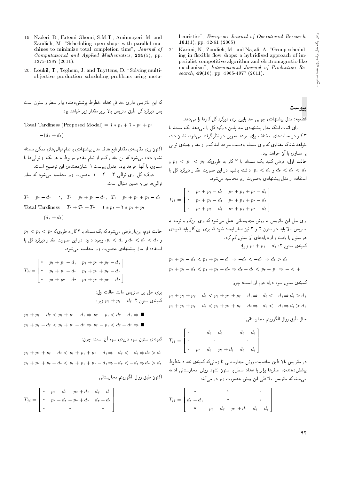heuristics", European Journal of Operational Research, 161(1), pp. 42-61 (2005).

21. Karimi, N., Zandieh, M. and Najafi, A. "Group scheduling in flexible flow shops: a hybridised approach of imperialist competitive algorithm and electromagnetic-like mechanism", International Journal of Production Research,  $49(16)$ , pp. 4965-4977 (2011).

پيوست

قضمیه: مدل پیشنهادی جوابی حد پایین برای دیرکرد کل کارها را می دهد.

برای اثبات اینکه مدل پیشنهادی حد پایین دیرکرد کل را می دهد یک مسئله با ۳ کار در حالت های مختلف برای موعد تحویل در نظر گرفته می شود، نشان داده خواهد شدکه مقداری که برای مسئله بهدست خواهد آمد کمتر از مقدار بهینهی توالمی<br>با مساوی با آن خواهد بود. یا مساوی با ان حواهد بود.<br>- المساوی

حالت اول: فرض کنید یک مسئله با ۳ کار به طوریکه ۳، < p، < p<br>این کول کو کو میران کرد: و  $p_i < d_i$  واشته باشیم در این صورت مقدار دیرکرد کل با  $d_{\tau} < d_{\gamma} < d_{\tau}$ استفاده از مدل پشتهادی بهصورت زیر محاسبه مے شود.

$$
T_{ji} = \begin{bmatrix} \cdot & p_{\tau} + p_{\tau} - d_{\tau} & p_{\tau} + p_{\tau} + p_{\tau} - d_{\tau} \\ \cdot & p_{\tau} + p_{\tau} - d_{\tau} & p_{\tau} + p_{\tau} + p_{\tau} - d_{\tau} \\ \cdot & p_{\tau} + p_{\tau} - d_{\tau} & p_{\tau} + p_{\tau} + p_{\tau} - d_{\tau} \end{bmatrix}
$$

برای حل این ماتریس به روش مجارستانی عمل می,شودکه برای اینکار با توجه به ماتریس بالا باید در ستون ۲ و ۳ نیز صفر ایجاد شود که برای این کار باید کمینهی<br>هر ستون را یافت و از درایههای آن ستون کم کرد.

هر سنون را یافت و از درایههای آن سنون نم درد.<br>حمایت کمینهی ستون ۲:  $p_1 + p_2 + p_3$  زیرا:

$$
p_1 + p_1 - d_1 < p_1 + p_1 - d_1 \Rightarrow -d_1 < -d_1 \Rightarrow d_1 > d_1
$$
\n
$$
p_1 + p_1 - d_1 < p_1 + p_1 - d_1 \Rightarrow d_1 - d_1 < p_1 - p_1 \Rightarrow -d_1 + p_1 \Rightarrow d_1 \Rightarrow d_1 \leq d_1 \Rightarrow d_1 \leq d_1 \Rightarrow d_1 \leq d_1 \Rightarrow d_1 \leq d_1 \Rightarrow d_1 \leq d_1 \Rightarrow d_1 \leq d_1 \Rightarrow d_1 \leq d_1 \Rightarrow d_1 \leq d_1 \Rightarrow d_1 \leq d_1 \Rightarrow d_1 \leq d_1 \Rightarrow d_1 \leq d_1 \Rightarrow d_1 \leq d_1 \Rightarrow d_1 \leq d_1 \Rightarrow d_1 \leq d_1 \Rightarrow d_1 \leq d_1 \Rightarrow d_1 \leq d_1 \Rightarrow d_1 \leq d_1 \Rightarrow d_1 \leq d_1 \Rightarrow d_1 \leq d_1 \Rightarrow d_1 \leq d_1 \Rightarrow d_1 \leq d_1 \Rightarrow d_1 \leq d_1 \Rightarrow d_1 \leq d_1 \Rightarrow d_1 \leq d_1 \Rightarrow d_1 \leq d_1 \Rightarrow d_1 \leq d_1 \Rightarrow d_1 \leq d_1 \Rightarrow d_1 \leq d_1 \Rightarrow d_1 \leq d_1 \Rightarrow d_1 \leq d_1 \Rightarrow d_1 \leq d_1 \Rightarrow d_1 \leq d_1 \Rightarrow d_1 \leq d_1 \Rightarrow d_1 \leq d_1 \Rightarrow d_1 \leq d_1 \Rightarrow d_1 \leq d_1 \Rightarrow d_1 \leq d_1 \Rightarrow d_1 \leq d_1 \Rightarrow d_1 \leq d_1 \Rightarrow d_1 \leq d_1 \Rightarrow d_1 \leq d_1 \Rightarrow d_1 \leq d_1 \Rightarrow d_1 \leq d_1 \Rightarrow d_1 \leq d_1 \Rightarrow d_1 \leq d_1 \Rightarrow d_1 \leq d_1 \Rightarrow d_1 \leq d_1 \Rightarrow d_1 \leq d_1 \Rightarrow d_1 \leq d_1 \Rightarrow d_1 \leq d_1 \Rightarrow d_1 \leq d_1 \Rightarrow d_1 \leq d_1 \Rightarrow d_1 \leq d_1 \Rightarrow d_1 \leq d_1 \Rightarrow d_1 \leq d_1 \Rightarrow d_1 \leq d_1 \Rightarrow d_1 \leq d_1 \Rightarrow d_1 \leq d_1 \Rightarrow d
$$

كمينهي ستون سوم درايه دوم آن است؛ چون:

$$
p_{\tau} + p_{\tau} + p_{\tau} - d_{\tau} < p_{\tau} + p_{\tau} + p_{\tau} - d_{\tau} \Rightarrow -d_{\tau} < -d_{\tau} \Rightarrow d_{\tau} > d_{\tau}
$$
\n
$$
p_{\tau} + p_{\tau} + p_{\tau} - d_{\tau} < p_{\tau} + p_{\tau} + p_{\tau} - d_{\tau} \Rightarrow -d_{\tau} < -d_{\tau} \Rightarrow d_{\tau} > d_{\tau}
$$

حال طبق روال الگوريتم مجارستاني:

$$
T_{ji} = \begin{bmatrix} \circ & d_{\tau} - d_{\tau} & d_{\tau} - d_{\tau} \\ \circ & \circ & \circ \\ \circ & p_{\tau} - d_{\tau} - p_{\tau} + d_{\tau} & d_{\tau} - d_{\tau} \end{bmatrix}
$$

در ماتریس بالا طبق خاصیت روش مجارستانی تا زمانیکه کمینهی تعداد خطوط پوشش دهندهى صفرها برابر با تعداد سطر يا ستون نشود روش مجارستانى ادامه می،یابد.که ماتریس بالا طی این روش بهصورت زیر در می آید:

$$
T_{ji} = \begin{bmatrix} \cdot & \cdot & \cdot & \cdot \\ d_{\tau} - d_{\tau} & \cdot & \cdot & \cdot \\ \cdot & \cdot & p_{\tau} - d_{\tau} - p_{\tau} + d_{\tau} & d_{\tau} - d_{\tau} \end{bmatrix}
$$

- 19. Naderi, B., Fatemi Ghomi, S.M.T., Aminnayeri, M. and Zandieh, M. "Scheduling open shops with parallel machines to minimize total completion time", Journal of Computational and Applied Mathematics, 235(5), pp. 1275-1287 (2011).
- 20. Loukil, T., Teghem, J. and Tuyttens, D. "Solving multiobjective production scheduling problems using meta-

CU= uwDU w Q]U Q@=Q@ xOvyOVWwB \w]N O=OaD pk=OL |=Q=O T} QD=t u}= xm %Ow@ Oy=wN Q}R Q=Okt Q@=Q@ q=@ T} QD=t j@] pm OQmQ}O TB

Total Tardiness (Proposed Model) =  $\mathbf{Y} * p_1 + \mathbf{Y} * p_2 + p_3$  $-(d_1 + d_2)$ 

اکنون برای مقایسهی مقدار تابع هدف مدل پیشنهادی با تمام توالی های ممکن مسئله<br>نشان داده مه شود که این مقدار کمتر از تمام مقادیر مربوط به هر یک از توالی ها یا

مساوى با آنها خواهد بود. جدول پيوست ١ نشان دهندهى اين توضيح است. "CU= K}[wD u}= |xOvyOu=Wv 1 CUw}B pwOH "Ow@ Oy=wN =yv; =@ |w=Ut دیرکرد کل برای توالی ۳ – ۲ – ۱ بهصورت زیر محاسبه میشود که سایر<br>پاید توالى ها نيز به همين منوال است.

 $T_{\mathbf{y}} = p_{\mathbf{y}} - d_{\mathbf{y}} = \circ$ ,  $T_{\mathbf{y}} = p_{\mathbf{y}} + p_{\mathbf{y}} - d_{\mathbf{y}}$ ,  $T_{\mathbf{y}} = p_{\mathbf{y}} + p_{\mathbf{y}} + p_{\mathbf{y}} - d_{\mathbf{y}}$ Total Tardiness =  $T_1 + T_1 + T_2 = 1 * p_1 + 1 * p_2 + p_3$ 

$$
-(d_\mathrm{t}+d_\mathrm{t})
$$

 $p_1 < p_1 < p_{\tau}$  حالت دوم: این بار فرض می شود که یک مسئله با ۳ کار به طوریکه ۴  $p_i < d_i$ و  $d_{\tau} < d_i$  و  $p_i < d_i$ ، وجود دارد. در این صورت مقدار دیرکرد کل استفاده از مدل پیشنهادی بهصورت زیر محاسبه می شود.

$$
T_{ji} = \begin{bmatrix} \cdot & p_{\tau} + p_{\tau} - d_{\tau} & p_{\tau} + p_{\tau} + p_{\tau} - d_{\tau} \\ \cdot & p_{\tau} + p_{\tau} - d_{\tau} & p_{\tau} + p_{\tau} + p_{\tau} - d_{\tau} \\ \cdot & p_{\tau} + p_{\tau} - d_{\tau} & p_{\tau} + p_{\tau} + p_{\tau} - d_{\tau} \end{bmatrix}
$$

برای حل این ما ری*س ما*سد حالب اول:<br>بر کمینهی ستون ۲:  $p_{\mathsf{r}} - p_{\mathsf{r}} = p_{\mathsf{r}}$  زیرا:

$$
p_1 + p_1 - d_1 < p_1 + p_1 - d_1 \Rightarrow p_1 - p_1 < d_1 - d_1 \Rightarrow \blacksquare
$$
\n
$$
p_1 + p_1 - d_1 < p_1 + p_1 - d_1 \Rightarrow p_1 - p_1 < d_1 - d_1 \Rightarrow \blacksquare
$$

کمینهی ستون سوم درایهی سوم آن است؛ چون:

$$
p_{\tau} + p_{\tau} + p_{\tau} - d_{\tau} < p_{\tau} + p_{\tau} + p_{\tau} - d_{\tau} \Rightarrow -d_{\tau} < -d_{\tau} \Rightarrow d_{\tau} > d_{\tau}
$$
\n
$$
p_{\tau} + p_{\tau} + p_{\tau} - d_{\tau} < p_{\tau} + p_{\tau} + p_{\tau} - d_{\tau} \Rightarrow -d_{\tau} < -d_{\tau} \Rightarrow d_{\tau} > d_{\tau}
$$

اكنون طبق روال الگوريتم مجارستاني:

$$
T_{ji} = \begin{bmatrix} \cdot & p_1 - d_1 - p_1 + d_1 & d_1 - d_1 \\ \cdot & p_1 - d_1 - p_1 + d_1 & d_1 - d_1 \\ \cdot & \cdot & \cdot & \cdot \end{bmatrix}
$$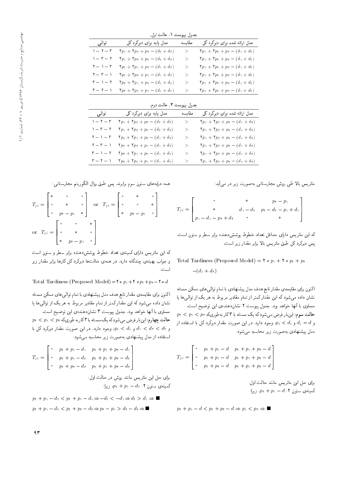جدول بيوست ١. حالت اول.

|                                        |                                                                                                                        | <u>.</u> |                                                                                                                                        |
|----------------------------------------|------------------------------------------------------------------------------------------------------------------------|----------|----------------------------------------------------------------------------------------------------------------------------------------|
| توالى                                  | مدل پایه برای دیرکرد کل                                                                                                | مقايسه   | مدل ارائه شده برای دیرکرد کل                                                                                                           |
| $\gamma = \gamma = \gamma$             | $\mathbf{Y}p_{\mathcal{V}} + \mathbf{Y}p_{\mathcal{V}} + p_{\mathcal{V}} - (d_{\mathcal{V}} + d_{\mathcal{V}})$        | → 1      | $\label{eq:1} \mathbf{Y} p_{\mathcal{V}} + \mathbf{Y} p_{\mathcal{V}} + p_{\mathcal{V}} - \big(d_{\mathcal{V}} + d_{\mathcal{V}}\big)$ |
| $\gamma = \tau - 1$                    | $\mathbf{Y}p_{\mathfrak{y}} + \mathbf{Y}p_{\mathfrak{y}} + p_{\mathfrak{y}} - (d_{\mathfrak{y}} + d_{\mathfrak{y}})$   | ➢        | $\mathbf{Y}p_1 + \mathbf{Y}p_1 + p_2 - (d_1 + d_1)$                                                                                    |
| $\mathbf{r} = \mathbf{v} - \mathbf{r}$ | $\mathbf{Y} p_{\mathfrak{k}} + \mathbf{Y} p_{\mathfrak{k}} + p_{\mathfrak{k}} - (d_{\mathfrak{k}} + d_{\mathfrak{k}})$ | ➢        | $\mathbf{Y}p_{\mathcal{V}} + \mathbf{Y}p_{\mathcal{V}} + p_{\mathcal{V}} - (d_{\mathcal{V}} + d_{\mathcal{V}})$                        |
| $\mathbf{r} - \mathbf{r} - \mathbf{r}$ | $\mathbf{Y} p_{\mathfrak{r}} + \mathbf{Y} p_{\mathfrak{r}} + p_{\mathfrak{t}} - (d_{\mathfrak{t}} + d_{\mathfrak{r}})$ | ➢        | $\mathbf{Y}p_{\mathcal{V}} + \mathbf{Y}p_{\mathcal{V}} + p_{\mathcal{V}} - (d_{\mathcal{V}} + d_{\mathcal{V}})$                        |
| $r = 1 - r$                            | $\mathbf{Y} p_{\mathsf{T}} + \mathbf{Y} p_{\mathsf{T}} + p_{\mathsf{T}} - (d_{\mathsf{T}} + d_{\mathsf{T}})$           | ➢        | $\mathbf{Y}p_1 + \mathbf{Y}p_1 + p_2 - (d_1 + d_1)$                                                                                    |
| $\mathsf{r}-\mathsf{r}-1$              | $\mathbf{Y} p_{\mathsf{T}} + \mathbf{Y} p_{\mathsf{T}} + p_{\mathsf{T}} - (d_{\mathsf{T}} + d_{\mathsf{T}})$           | ➢        | $\mathbf{Y}p_{\mathcal{V}} + \mathbf{Y}p_{\mathcal{V}} + p_{\mathcal{V}} - (d_{\mathcal{V}} + d_{\mathcal{V}})$                        |
|                                        |                                                                                                                        |          |                                                                                                                                        |

حدول سوست ٢. حالت دوم.

|                                        |                                                                                                                        | - J.J. UJ . |                                                                                                                        |
|----------------------------------------|------------------------------------------------------------------------------------------------------------------------|-------------|------------------------------------------------------------------------------------------------------------------------|
| توالي                                  | مدل پایه برای دیرگرد کل                                                                                                | مقايسه      | مدل ارائه شده برای دیرگرد گل                                                                                           |
| $1 - 1 - 1$                            | $\mathbf{Y}p_{1} + \mathbf{Y}p_{1} + p_{\mathbf{Y}} - (d_{1} + d_{\mathbf{Y}})$                                        | → 1         | $\mathbf{Y}p_1 + \mathbf{Y}p_1 + p_{\mathbf{Y}} - (d_1 + d_{\mathbf{Y}})$                                              |
| $1 - r - r$                            | $\mathbf{Y}p_{1} + \mathbf{Y}p_{\mathbf{r}} + p_{\mathbf{Y}} - (d_{\mathbf{Y}} + d_{\mathbf{Y}})$                      | >.          | $\mathbf{Y}p_1 + \mathbf{Y}p_1 + p_{\mathbf{Y}} - (d_1 + d_{\mathbf{Y}})$                                              |
| $\mathbf{Y} = \mathbf{Y} - \mathbf{Y}$ | $\mathbf{Y} p_{\mathfrak{r}} + \mathbf{Y} p_{\mathfrak{r}} + p_{\mathfrak{r}} - (d_{\mathfrak{r}} + d_{\mathfrak{r}})$ | >.          | $\mathbf{Y} p_{\mathfrak{t}} + \mathbf{Y} p_{\mathfrak{t}} + p_{\mathfrak{t}} - (d_{\mathfrak{t}} + d_{\mathfrak{t}})$ |
| $\mathbf{Y}-\mathbf{Y}-\mathbf{Y}$     | $\mathbf{Y} p_{\mathfrak{r}} + \mathbf{Y} p_{\mathfrak{r}} + p_{\mathfrak{t}} - (d_{\mathfrak{t}} + d_{\mathfrak{r}})$ | ➢           | $\mathbf{Y}p_1 + \mathbf{Y}p_1 + p_{\mathbf{Y}} - (d_1 + d_{\mathbf{Y}})$                                              |
| $r - 1 - r$                            | $\mathbf{Y} p_{\mathsf{T}} + \mathbf{Y} p_{\mathsf{T}} + p_{\mathsf{T}} - (d_{\mathsf{T}} + d_{\mathsf{T}})$           | ➢           | $\mathbf{Y}p_1 + \mathbf{Y}p_1 + p_{\mathbf{Y}} - (d_1 + d_{\mathbf{Y}})$                                              |
| $\mathsf{r}-\mathsf{r}-\mathsf{r}$     | $\mathbf{Y} p_{\mathsf{T}} + \mathbf{Y} p_{\mathsf{T}} + p_{\mathsf{T}} - (d_{\mathsf{T}} + d_{\mathsf{T}})$           | → 1         | $\mathbf{Y}p_{1} + \mathbf{Y}p_{1} + p_{\mathbf{Y}} - (d_{1} + d_{\mathbf{Y}})$                                        |
|                                        |                                                                                                                        |             |                                                                                                                        |

همه درايههاي ستون سوم برابرند. يس طبق روال الگوريتم مجارستاني:

$$
T_{ji} = \begin{bmatrix} \circ & \circ & \circ \\ \circ & \circ & \circ \\ \circ & p_{r} - p_{\lambda} & \circ \end{bmatrix} \quad \text{or} \quad T_{ji} = \begin{bmatrix} \circ & \circ & \circ \\ \circ & \circ & \circ \\ \circ & \circ & \circ \\ \circ & p_{r} - p_{\lambda} & \circ \end{bmatrix}
$$

که این ماتریس دارای کمینهی تعداد خطوط پوششدهنده برابر سطر و ستون است و جواب بهینهی چندگانه دارد. در همهی حالت ها دیرکرد کل کارها برابر مقدار زیر است:

Total Tardiness (Proposed Model)= $\mathbf{Y} * p_1 + \mathbf{Y} * p_1 + p_2 - \mathbf{Y} * d$ 

اکنون برای مقایسهی مقدار تابع هدف مدل پیشنهادی با تمام توالی های ممکن مسئله نشان داده میشود که این مقدار کمتر از تمام مقادیر مربوط به هر یک از توالی ها یا<br>مساوی با آنها خواهد بود. جدول پیوست ۳ نشاندهندهی این توضیح است. مساوی با آنها حواهد بود. جدول پیوست ۱ تسان(دهندهی این توضیح است.<br>-<br>- المسمود المساح است مسلم حرکت علم العمل  $p_{\Upsilon} < p_{\Upsilon} < p_{\Upsilon}$ حالت چهارم: اینبار فرض میشودکه یک مسئله با ۳ کار به طوریکه<br>پریم کوچید کردی کے سیاست  $p_i < d_i$ و  $d_{\mathsf{t}} < d_{\mathsf{t}} < d_{\mathsf{t}}$ ، وجود دارد. در این صورت مقدار دیرکرد کل با استفاده از مدل پیشنهادی بهصورت زیر محاسبه می شود:

$$
T_{ji} = \begin{bmatrix} \cdot & p_{\tau} + p_{\tau} - d_{\tau} & p_{\tau} + p_{\tau} + p_{\tau} - d_{\tau} \\ \cdot & p_{\tau} + p_{\tau} - d_{\tau} & p_{\tau} + p_{\tau} + p_{\tau} - d_{\tau} \\ \cdot & p_{\tau} + p_{\tau} - d_{\tau} & p_{\tau} + p_{\tau} + p_{\tau} - d_{\tau} \end{bmatrix}
$$

برای حل این ماتریس مانند روش در حالت اول: کمینهی ستون ۲:  $p_1 + p_2 = q_3$ ، زیرا $\Delta$ 

$$
p_{\tau} + p_{\tau} - d_{\tau} < p_{\tau} + p_{\tau} - d_{\tau} \Rightarrow -d_{\tau} < -d_{\tau} \Rightarrow d_{\tau} > d_{\tau} \Rightarrow \blacksquare
$$
\n
$$
p_{\tau} + p_{\tau} - d_{\tau} < p_{\tau} + p_{\tau} - d_{\tau} \Rightarrow p_{\tau} - p_{\tau} > d_{\tau} - d_{\tau} \Rightarrow \blacksquare
$$

ماتریس بالا طی روش مجارستانی بهصورت زیر در می آید:

$$
T_{ji} = \begin{bmatrix} \cdot & \cdot & \cdot & p_{\tau} - p_{\tau} \\ \cdot & \cdot & d_{\tau} - d_{\tau} & p_{\tau} - d_{\tau} - p_{\tau} + d_{\tau} \\ p_{\tau} - d_{\tau} - p_{\tau} + d_{\tau} & \cdot & \cdot & \cdot \end{bmatrix}
$$

كه اين ماتريس داراي حداقل تعداد خطوط يوشش دهنده برابر سطر و ستون است. پس دیرکرد کل طبق ماتریس بالا برابر مقدار زیر است.

Total Tardiness (Proposed Model) =  $\mathbf{Y} * p_1 + \mathbf{Y} * p_2 + p_3$  $-(d_1 + d_1)$ 

اکنون برای مقایسهی مقدار تابع هدف مدل پیشنهادی با تمام توالمی های ممکن مسئله نشان داده میشود که این مقدار کمتر از تمام مقادیر مربوط به هر یک از توالی ها یا

مساوی با آنها خواهد بود. جدول پیوست ۲ نشاندهندهی این توضیح است.  $p_{1} < p_{1} < p_{\texttt{T}}$  حالت سوم: این بار فرض می شود که یک مسئله با ۳ کار بهطوریکه و  $p_i < d_i$  و  $p_i > p_i$ ، وجود دارد. در این صورت مقدار دیرکرد کل با استفاده از مدل پیشنهادی بهصورت زیر محاسبه می شود:

$$
T_{ji} = \begin{bmatrix} \circ & p_1 + p_1 - d & p_1 + p_1 + p_1 - d \\ \circ & p_1 + p_1 - d & p_1 + p_1 + p_1 - d \\ \circ & p_1 + p_1 - d & p_1 + p_1 + p_1 - d \end{bmatrix}
$$

برای حل این ماتریس مانند حالت اول:  $p_1 + p_2 = d : \mathbf{Y}$ کمینهی ستون ۲:

$$
p_{\mathfrak{k}} + p_{\mathfrak{k}} - d < p_{\mathfrak{k}} + p_{\mathfrak{k}} - d \Rightarrow p_{\mathfrak{k}} < p_{\mathfrak{k}} \Rightarrow \blacksquare
$$